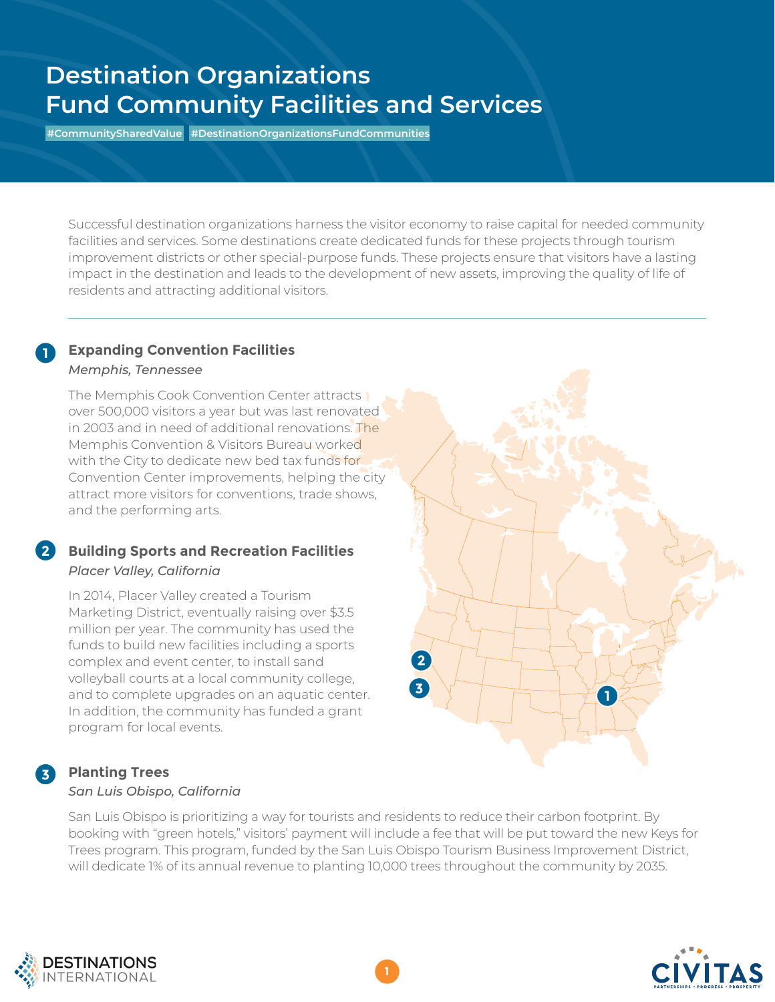# **Destination Organizations Fund Community Facilities and Services**

**#CommunitySharedValue #DestinationOrganizationsFundCommunities**

Successful destination organizations harness the visitor economy to raise capital for needed community facilities and services. Some destinations create dedicated funds for these projects through tourism improvement districts or other special-purpose funds. These projects ensure that visitors have a lasting impact in the destination and leads to the development of new assets, improving the quality of life of residents and attracting additional visitors.

### **Expanding Convention Facilities** *Memphis, Tennessee*

**1**

**2**

**3**

The Memphis Cook Convention Center attracts over 500,000 visitors a year but was last renovated in 2003 and in need of additional renovations. The Memphis Convention & Visitors Bureau worked with the City to dedicate new bed tax funds for Convention Center improvements, helping the city attract more visitors for conventions, trade shows, and the performing arts.

## **Building Sports and Recreation Facilities**  *Placer Valley, California*

In 2014, Placer Valley created a Tourism Marketing District, eventually raising over \$3.5 million per year. The community has used the funds to build new facilities including a sports complex and event center, to install sand volleyball courts at a local community college, and to complete upgrades on an aquatic center. In addition, the community has funded a grant program for local events.

## **Planting Trees** *San Luis Obispo, California*

San Luis Obispo is prioritizing a way for tourists and residents to reduce their carbon footprint. By booking with "green hotels," visitors' payment will include a fee that will be put toward the new Keys for Trees program. This program, funded by the San Luis Obispo Tourism Business Improvement District, will dedicate 1% of its annual revenue to planting 10,000 trees throughout the community by 2035.